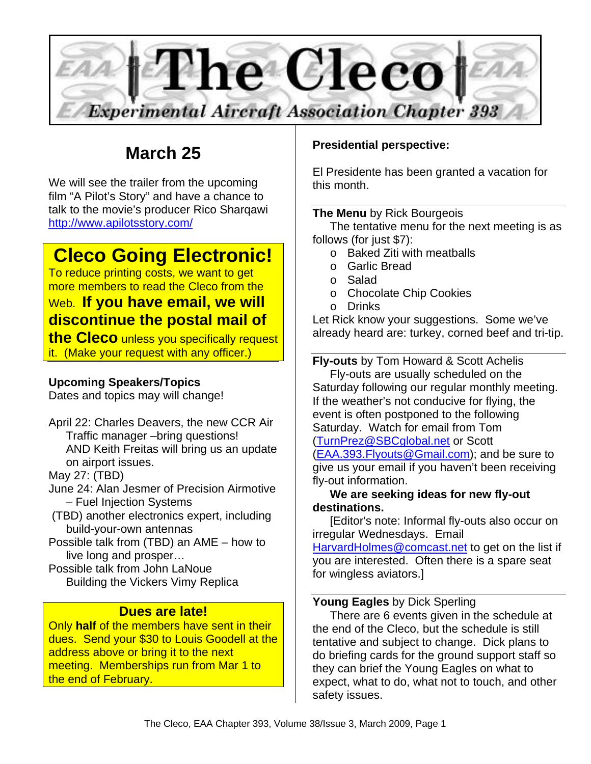

# **March 25**

We will see the trailer from the upcoming film "A Pilot's Story" and have a chance to talk to the movie's producer Rico Sharqawi http://www.apilotsstory.com/

# **Cleco Going Electronic!**

To reduce printing costs, we want to get more members to read the Cleco from the

# Web. **If you have email, we will discontinue the postal mail of**

**the Cleco** unless you specifically request it. (Make your request with any officer.)

### **Upcoming Speakers/Topics**

Dates and topics may will change!

April 22: Charles Deavers, the new CCR Air Traffic manager –bring questions! AND Keith Freitas will bring us an update on airport issues.

May 27: (TBD)

- June 24: Alan Jesmer of Precision Airmotive – Fuel Injection Systems
- (TBD) another electronics expert, including build-your-own antennas
- Possible talk from (TBD) an AME how to live long and prosper…
- Possible talk from John LaNoue Building the Vickers Vimy Replica

## **Dues are late!**

Only **half** of the members have sent in their dues. Send your \$30 to Louis Goodell at the address above or bring it to the next meeting. Memberships run from Mar 1 to the end of February.

### **Presidential perspective:**

El Presidente has been granted a vacation for this month.

#### **The Menu** by Rick Bourgeois

The tentative menu for the next meeting is as follows (for just \$7):

- o Baked Ziti with meatballs
- o Garlic Bread
- o Salad
- o Chocolate Chip Cookies
- o Drinks

Let Rick know your suggestions. Some we've already heard are: turkey, corned beef and tri-tip.

**Fly-outs** by Tom Howard & Scott Achelis Fly-outs are usually scheduled on the Saturday following our regular monthly meeting. If the weather's not conducive for flying, the event is often postponed to the following Saturday. Watch for email from Tom (TurnPrez@SBCglobal.net or Scott (EAA.393.Flyouts@Gmail.com); and be sure to give us your email if you haven't been receiving fly-out information.

#### **We are seeking ideas for new fly-out destinations.**

[Editor's note: Informal fly-outs also occur on irregular Wednesdays. Email

HarvardHolmes@comcast.net to get on the list if you are interested. Often there is a spare seat for wingless aviators.]

#### **Young Eagles** by Dick Sperling

There are 6 events given in the schedule at the end of the Cleco, but the schedule is still tentative and subject to change. Dick plans to do briefing cards for the ground support staff so they can brief the Young Eagles on what to expect, what to do, what not to touch, and other safety issues.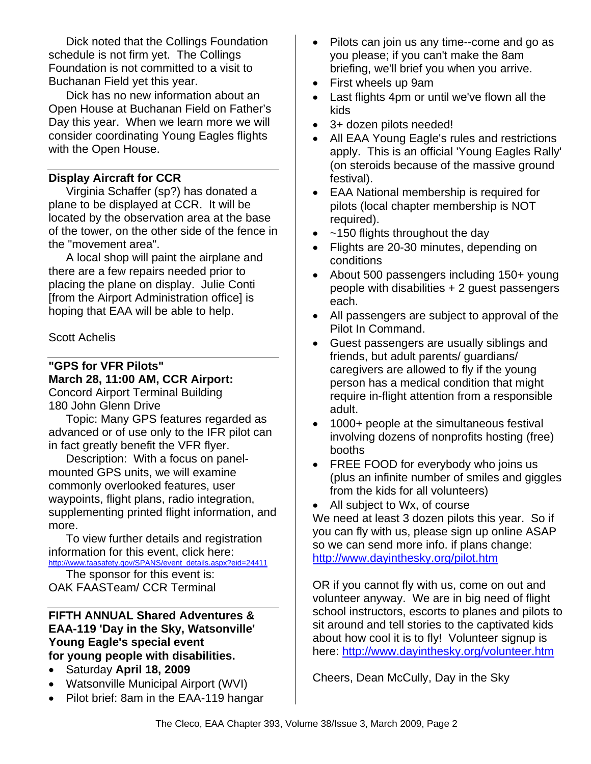Dick noted that the Collings Foundation schedule is not firm yet. The Collings Foundation is not committed to a visit to Buchanan Field yet this year.

Dick has no new information about an Open House at Buchanan Field on Father's Day this year. When we learn more we will consider coordinating Young Eagles flights with the Open House.

#### **Display Aircraft for CCR**

Virginia Schaffer (sp?) has donated a plane to be displayed at CCR. It will be located by the observation area at the base of the tower, on the other side of the fence in the "movement area".

A local shop will paint the airplane and there are a few repairs needed prior to placing the plane on display. Julie Conti [from the Airport Administration office] is hoping that EAA will be able to help.

#### Scott Achelis

**"GPS for VFR Pilots" March 28, 11:00 AM, CCR Airport:**  Concord Airport Terminal Building

180 John Glenn Drive

Topic: Many GPS features regarded as advanced or of use only to the IFR pilot can in fact greatly benefit the VFR flyer.

Description: With a focus on panelmounted GPS units, we will examine commonly overlooked features, user waypoints, flight plans, radio integration, supplementing printed flight information, and more.

To view further details and registration information for this event, click here: http://www.faasafety.gov/SPANS/event\_details.aspx?eid=24411

The sponsor for this event is: OAK FAASTeam/ CCR Terminal

#### **FIFTH ANNUAL Shared Adventures & EAA-119 'Day in the Sky, Watsonville' Young Eagle's special event for young people with disabilities.**

- Saturday **April 18, 2009**
- Watsonville Municipal Airport (WVI)
- Pilot brief: 8am in the EAA-119 hangar
- Pilots can join us any time--come and go as you please; if you can't make the 8am briefing, we'll brief you when you arrive.
- First wheels up 9am
- Last flights 4pm or until we've flown all the kids
- 3+ dozen pilots needed!
- All EAA Young Eagle's rules and restrictions apply. This is an official 'Young Eagles Rally' (on steroids because of the massive ground festival).
- EAA National membership is required for pilots (local chapter membership is NOT required).
- $\sim$  150 flights throughout the day
- Flights are 20-30 minutes, depending on conditions
- About 500 passengers including 150+ young people with disabilities + 2 guest passengers each.
- All passengers are subject to approval of the Pilot In Command.
- Guest passengers are usually siblings and friends, but adult parents/ guardians/ caregivers are allowed to fly if the young person has a medical condition that might require in-flight attention from a responsible adult.
- 1000+ people at the simultaneous festival involving dozens of nonprofits hosting (free) booths
- FREE FOOD for everybody who joins us (plus an infinite number of smiles and giggles from the kids for all volunteers)
- All subject to Wx, of course

We need at least 3 dozen pilots this year. So if you can fly with us, please sign up online ASAP so we can send more info. if plans change: http://www.dayinthesky.org/pilot.htm

OR if you cannot fly with us, come on out and volunteer anyway. We are in big need of flight school instructors, escorts to planes and pilots to sit around and tell stories to the captivated kids about how cool it is to fly! Volunteer signup is here: http://www.dayinthesky.org/volunteer.htm

Cheers, Dean McCully, Day in the Sky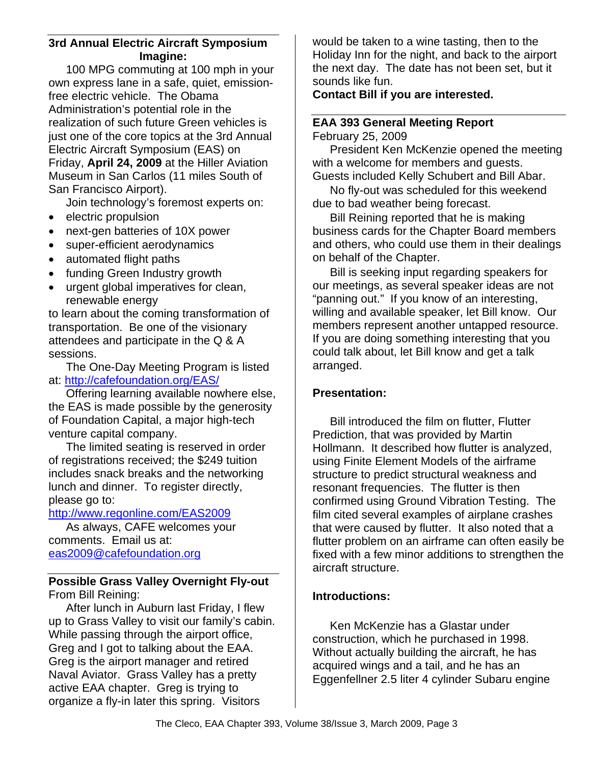#### **3rd Annual Electric Aircraft Symposium Imagine:**

100 MPG commuting at 100 mph in your own express lane in a safe, quiet, emissionfree electric vehicle. The Obama Administration's potential role in the realization of such future Green vehicles is just one of the core topics at the 3rd Annual Electric Aircraft Symposium (EAS) on Friday, **April 24, 2009** at the Hiller Aviation Museum in San Carlos (11 miles South of San Francisco Airport).

Join technology's foremost experts on:

- electric propulsion
- next-gen batteries of 10X power
- super-efficient aerodynamics
- automated flight paths
- funding Green Industry growth
- urgent global imperatives for clean, renewable energy

to learn about the coming transformation of transportation. Be one of the visionary attendees and participate in the Q & A sessions.

The One-Day Meeting Program is listed at: http://cafefoundation.org/EAS/

Offering learning available nowhere else, the EAS is made possible by the generosity of Foundation Capital, a major high-tech venture capital company.

The limited seating is reserved in order of registrations received; the \$249 tuition includes snack breaks and the networking lunch and dinner. To register directly, please go to:

#### http://www.regonline.com/EAS2009

As always, CAFE welcomes your comments. Email us at: eas2009@cafefoundation.org

#### **Possible Grass Valley Overnight Fly-out**  From Bill Reining:

After lunch in Auburn last Friday, I flew up to Grass Valley to visit our family's cabin. While passing through the airport office, Greg and I got to talking about the EAA. Greg is the airport manager and retired Naval Aviator. Grass Valley has a pretty active EAA chapter. Greg is trying to organize a fly-in later this spring. Visitors

would be taken to a wine tasting, then to the Holiday Inn for the night, and back to the airport the next day. The date has not been set, but it sounds like fun.

#### **Contact Bill if you are interested.**

# **EAA 393 General Meeting Report**

February 25, 2009

President Ken McKenzie opened the meeting with a welcome for members and guests.

Guests included Kelly Schubert and Bill Abar. No fly-out was scheduled for this weekend

due to bad weather being forecast.

Bill Reining reported that he is making business cards for the Chapter Board members and others, who could use them in their dealings on behalf of the Chapter.

Bill is seeking input regarding speakers for our meetings, as several speaker ideas are not "panning out." If you know of an interesting, willing and available speaker, let Bill know. Our members represent another untapped resource. If you are doing something interesting that you could talk about, let Bill know and get a talk arranged.

#### **Presentation:**

Bill introduced the film on flutter, Flutter Prediction, that was provided by Martin Hollmann. It described how flutter is analyzed, using Finite Element Models of the airframe structure to predict structural weakness and resonant frequencies. The flutter is then confirmed using Ground Vibration Testing. The film cited several examples of airplane crashes that were caused by flutter. It also noted that a flutter problem on an airframe can often easily be fixed with a few minor additions to strengthen the aircraft structure.

#### **Introductions:**

Ken McKenzie has a Glastar under construction, which he purchased in 1998. Without actually building the aircraft, he has acquired wings and a tail, and he has an Eggenfellner 2.5 liter 4 cylinder Subaru engine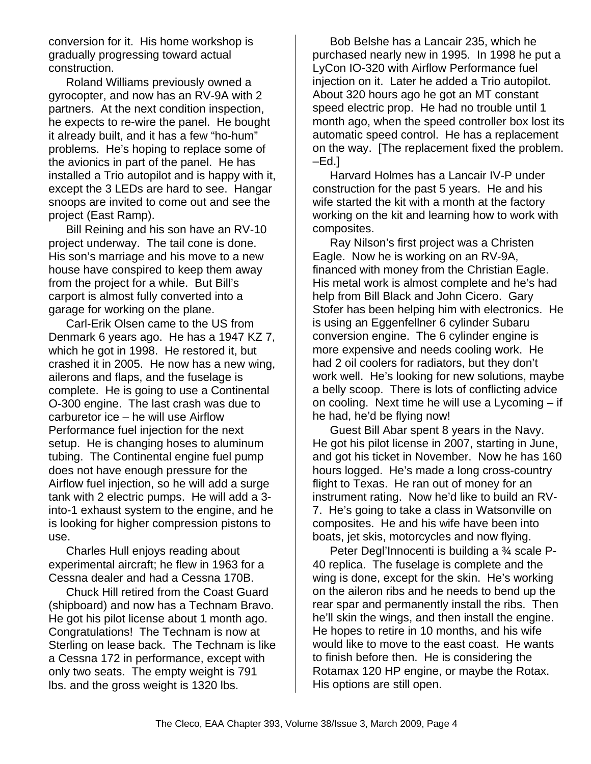conversion for it. His home workshop is gradually progressing toward actual construction.

Roland Williams previously owned a gyrocopter, and now has an RV-9A with 2 partners. At the next condition inspection, he expects to re-wire the panel. He bought it already built, and it has a few "ho-hum" problems. He's hoping to replace some of the avionics in part of the panel. He has installed a Trio autopilot and is happy with it, except the 3 LEDs are hard to see. Hangar snoops are invited to come out and see the project (East Ramp).

Bill Reining and his son have an RV-10 project underway. The tail cone is done. His son's marriage and his move to a new house have conspired to keep them away from the project for a while. But Bill's carport is almost fully converted into a garage for working on the plane.

Carl-Erik Olsen came to the US from Denmark 6 years ago. He has a 1947 KZ 7, which he got in 1998. He restored it, but crashed it in 2005. He now has a new wing, ailerons and flaps, and the fuselage is complete. He is going to use a Continental O-300 engine. The last crash was due to carburetor ice – he will use Airflow Performance fuel injection for the next setup. He is changing hoses to aluminum tubing. The Continental engine fuel pump does not have enough pressure for the Airflow fuel injection, so he will add a surge tank with 2 electric pumps. He will add a 3 into-1 exhaust system to the engine, and he is looking for higher compression pistons to use.

Charles Hull enjoys reading about experimental aircraft; he flew in 1963 for a Cessna dealer and had a Cessna 170B.

Chuck Hill retired from the Coast Guard (shipboard) and now has a Technam Bravo. He got his pilot license about 1 month ago. Congratulations! The Technam is now at Sterling on lease back. The Technam is like a Cessna 172 in performance, except with only two seats. The empty weight is 791 lbs. and the gross weight is 1320 lbs.

Bob Belshe has a Lancair 235, which he purchased nearly new in 1995. In 1998 he put a LyCon IO-320 with Airflow Performance fuel injection on it. Later he added a Trio autopilot. About 320 hours ago he got an MT constant speed electric prop. He had no trouble until 1 month ago, when the speed controller box lost its automatic speed control. He has a replacement on the way. [The replacement fixed the problem.  $-Ed.$ 

Harvard Holmes has a Lancair IV-P under construction for the past 5 years. He and his wife started the kit with a month at the factory working on the kit and learning how to work with composites.

Ray Nilson's first project was a Christen Eagle. Now he is working on an RV-9A, financed with money from the Christian Eagle. His metal work is almost complete and he's had help from Bill Black and John Cicero. Gary Stofer has been helping him with electronics. He is using an Eggenfellner 6 cylinder Subaru conversion engine. The 6 cylinder engine is more expensive and needs cooling work. He had 2 oil coolers for radiators, but they don't work well. He's looking for new solutions, maybe a belly scoop. There is lots of conflicting advice on cooling. Next time he will use a Lycoming – if he had, he'd be flying now!

Guest Bill Abar spent 8 years in the Navy. He got his pilot license in 2007, starting in June, and got his ticket in November. Now he has 160 hours logged. He's made a long cross-country flight to Texas. He ran out of money for an instrument rating. Now he'd like to build an RV-7. He's going to take a class in Watsonville on composites. He and his wife have been into boats, jet skis, motorcycles and now flying.

Peter Degl'Innocenti is building a ¾ scale P-40 replica. The fuselage is complete and the wing is done, except for the skin. He's working on the aileron ribs and he needs to bend up the rear spar and permanently install the ribs. Then he'll skin the wings, and then install the engine. He hopes to retire in 10 months, and his wife would like to move to the east coast. He wants to finish before then. He is considering the Rotamax 120 HP engine, or maybe the Rotax. His options are still open.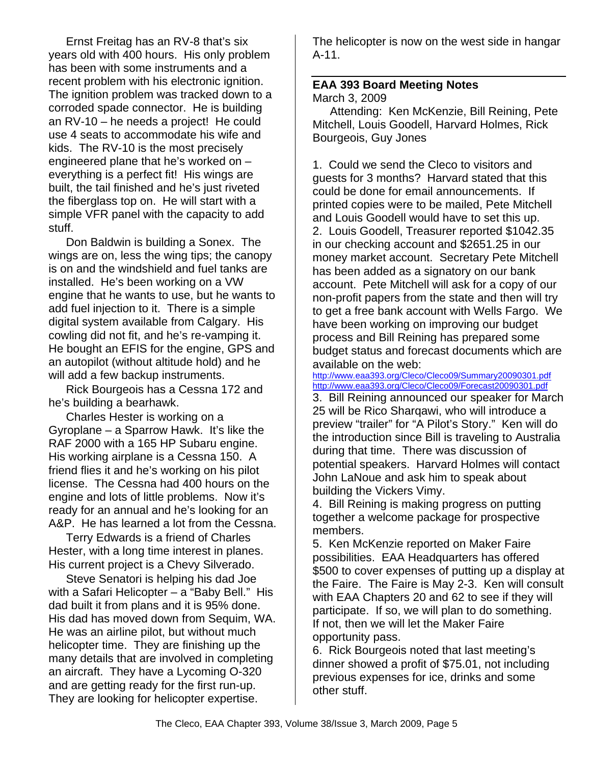Ernst Freitag has an RV-8 that's six years old with 400 hours. His only problem has been with some instruments and a recent problem with his electronic ignition. The ignition problem was tracked down to a corroded spade connector. He is building an RV-10 – he needs a project! He could use 4 seats to accommodate his wife and kids. The RV-10 is the most precisely engineered plane that he's worked on – everything is a perfect fit! His wings are built, the tail finished and he's just riveted the fiberglass top on. He will start with a simple VFR panel with the capacity to add stuff.

Don Baldwin is building a Sonex. The wings are on, less the wing tips; the canopy is on and the windshield and fuel tanks are installed. He's been working on a VW engine that he wants to use, but he wants to add fuel injection to it. There is a simple digital system available from Calgary. His cowling did not fit, and he's re-vamping it. He bought an EFIS for the engine, GPS and an autopilot (without altitude hold) and he will add a few backup instruments.

Rick Bourgeois has a Cessna 172 and he's building a bearhawk.

Charles Hester is working on a Gyroplane – a Sparrow Hawk. It's like the RAF 2000 with a 165 HP Subaru engine. His working airplane is a Cessna 150. A friend flies it and he's working on his pilot license. The Cessna had 400 hours on the engine and lots of little problems. Now it's ready for an annual and he's looking for an A&P. He has learned a lot from the Cessna.

Terry Edwards is a friend of Charles Hester, with a long time interest in planes. His current project is a Chevy Silverado.

Steve Senatori is helping his dad Joe with a Safari Helicopter – a "Baby Bell." His dad built it from plans and it is 95% done. His dad has moved down from Sequim, WA. He was an airline pilot, but without much helicopter time. They are finishing up the many details that are involved in completing an aircraft. They have a Lycoming O-320 and are getting ready for the first run-up. They are looking for helicopter expertise.

The helicopter is now on the west side in hangar A-11.

# **EAA 393 Board Meeting Notes**

March 3, 2009

Attending: Ken McKenzie, Bill Reining, Pete Mitchell, Louis Goodell, Harvard Holmes, Rick Bourgeois, Guy Jones

1. Could we send the Cleco to visitors and guests for 3 months? Harvard stated that this could be done for email announcements. If printed copies were to be mailed, Pete Mitchell and Louis Goodell would have to set this up. 2. Louis Goodell, Treasurer reported \$1042.35 in our checking account and \$2651.25 in our money market account. Secretary Pete Mitchell has been added as a signatory on our bank account. Pete Mitchell will ask for a copy of our non-profit papers from the state and then will try to get a free bank account with Wells Fargo. We have been working on improving our budget process and Bill Reining has prepared some budget status and forecast documents which are available on the web:

http://www.eaa393.org/Cleco/Cleco09/Summary20090301.pdf http://www.eaa393.org/Cleco/Cleco09/Forecast20090301.pdf

3. Bill Reining announced our speaker for March 25 will be Rico Sharqawi, who will introduce a preview "trailer" for "A Pilot's Story." Ken will do the introduction since Bill is traveling to Australia during that time. There was discussion of potential speakers. Harvard Holmes will contact John LaNoue and ask him to speak about building the Vickers Vimy.

4. Bill Reining is making progress on putting together a welcome package for prospective members.

5. Ken McKenzie reported on Maker Faire possibilities. EAA Headquarters has offered \$500 to cover expenses of putting up a display at the Faire. The Faire is May 2-3. Ken will consult with EAA Chapters 20 and 62 to see if they will participate. If so, we will plan to do something. If not, then we will let the Maker Faire opportunity pass.

6. Rick Bourgeois noted that last meeting's dinner showed a profit of \$75.01, not including previous expenses for ice, drinks and some other stuff.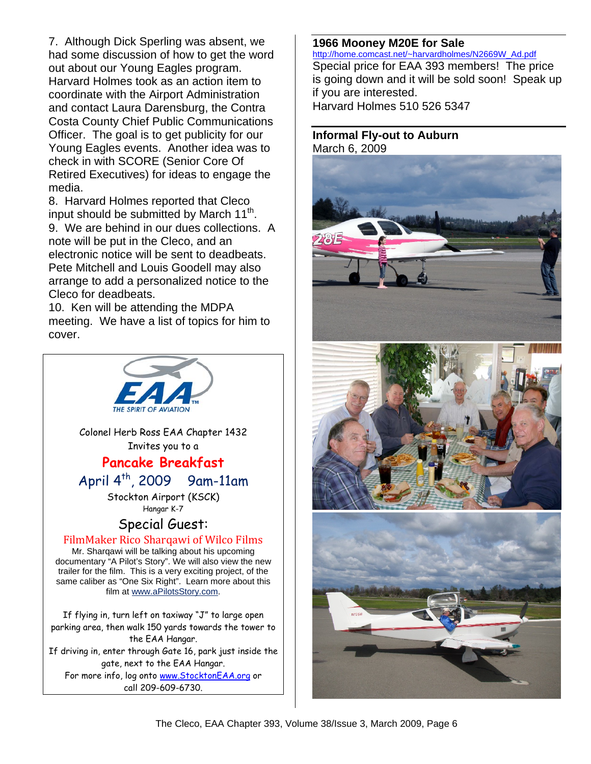7. Although Dick Sperling was absent, we had some discussion of how to get the word out about our Young Eagles program. Harvard Holmes took as an action item to coordinate with the Airport Administration and contact Laura Darensburg, the Contra Costa County Chief Public Communications Officer. The goal is to get publicity for our Young Eagles events. Another idea was to check in with SCORE (Senior Core Of Retired Executives) for ideas to engage the media.

8. Harvard Holmes reported that Cleco input should be submitted by March 11<sup>th</sup>.

9. We are behind in our dues collections. A note will be put in the Cleco, and an electronic notice will be sent to deadbeats. Pete Mitchell and Louis Goodell may also arrange to add a personalized notice to the Cleco for deadbeats.

10. Ken will be attending the MDPA meeting. We have a list of topics for him to cover.



**1966 Mooney M20E for Sale** http://home.comcast.net/~harvardholmes/N2669W\_Ad.pdf Special price for EAA 393 members! The price is going down and it will be sold soon! Speak up if you are interested. Harvard Holmes 510 526 5347

#### **Informal Fly-out to Auburn**  March 6, 2009





The Cleco, EAA Chapter 393, Volume 38/Issue 3, March 2009, Page 6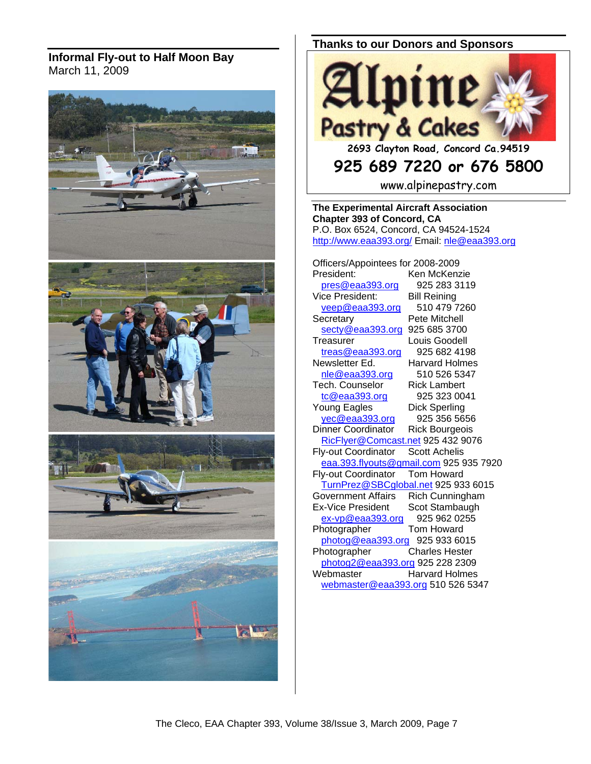#### **Informal Fly-out to Half Moon Bay**  March 11, 2009



#### **Thanks to our Donors and Sponsors**



**925 689 7220 or 676 5800** 

www.alpinepastry.com

**The Experimental Aircraft Association Chapter 393 of Concord, CA**  P.O. Box 6524, Concord, CA 94524-1524 http://www.eaa393.org/ Email: nle@eaa393.org

Officers/Appointees for 2008-2009 President: Ken McKenzie pres@eaa393.org 925 283 3119 Vice President: Bill Reining veep@eaa393.org 510 479 7260 Secretary Pete Mitchell secty@eaa393.org 925 685 3700 Treasurer Louis Goodell treas@eaa393.org 925 682 4198 Newsletter Ed. Harvard Holmes nle@eaa393.org 510 526 5347 Tech. Counselor Rick Lambert tc@eaa393.org 925 323 0041 Young Eagles Dick Sperling<br>
<u>yec@eaa393.org</u> 925 356 5656 yec@eaa393.org Dinner Coordinator Rick Bourgeois RicFlyer@Comcast.net 925 432 9076<br>v-out Coordinator Scott Achelis Fly-out Coordinator eaa.393.flyouts@gmail.com 925 935 7920 Fly-out Coordinator Tom Howard TurnPrez@SBCglobal.net 925 933 6015<br>Government Affairs Rich Cunningham Rich Cunningham Ex-Vice President Scot Stambaugh ex-vp@eaa393.org 925 962 0255<br>hotographer Tom Howard Photographer photog@eaa393.org 925 933 6015<br>Photographer Charles Hester Charles Hester photog2@eaa393.org 925 228 2309 Webmaster **Harvard Holmes** webmaster@eaa393.org 510 526 5347